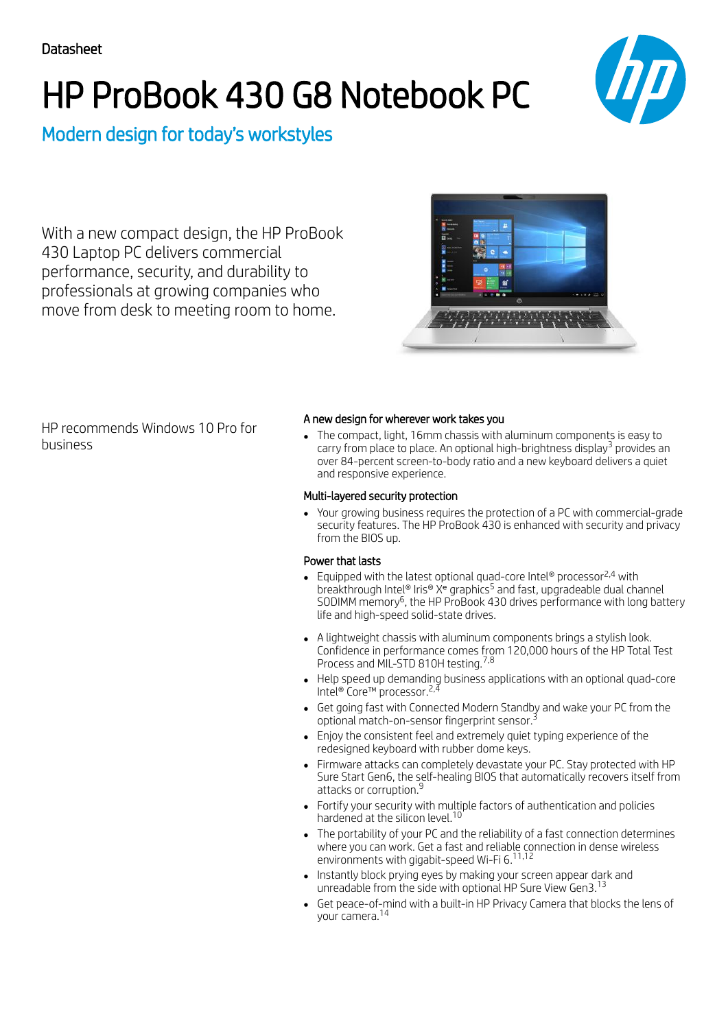# HP ProBook 430 G8 Notebook PC



Modern design for today's workstyles

With a new compact design, the HP ProBook 430 Laptop PC delivers commercial performance, security, and durability to professionals at growing companies who move from desk to meeting room to home.



HP recommends Windows 10 Pro for business

### A new design for wherever work takes you

The compact, light, 16mm chassis with aluminum components is easy to carry from place to place. An optional high-brightness display $^3$  provides an over 84-percent screen-to-body ratio and a new keyboard delivers a quiet and responsive experience.

#### Multi-layered security protection

Your growing business requires the protection of a PC with commercial-grade security features. The HP ProBook 430 is enhanced with security and privacy from the BIOS up.

## Power that lasts

- Equipped with the latest optional quad-core Intel® processor<sup>2,4</sup> with breakthrough Intel® Iris® X<sup>e</sup> graphics<sup>5</sup> and fast, upgradeable dual channel SODIMM memory<sup>6</sup>, the HP ProBook 430 drives performance with long battery life and high-speed solid-state drives.
- A lightweight chassis with aluminum components brings a stylish look. Confidence in performance comes from 120,000 hours of the HP Total Test Process and MIL-STD 810H testing.<sup>7,8</sup>
- Help speed up demanding business applications with an optional quad-core Intel® Core™ processor. 2,4
- Get going fast with Connected Modern Standby and wake your PC from the optional match-on-sensor fingerprint sensor. 3
- Enjoy the consistent feel and extremely quiet typing experience of the redesigned keyboard with rubber dome keys.
- Firmware attacks can completely devastate your PC. Stay protected with HP Sure Start Gen6, the self-healing BIOS that automatically recovers itself from attacks or corruption.<sup>9</sup>
- Fortify your security with multiple factors of authentication and policies hardened at the silicon level.<sup>10</sup>
- The portability of your PC and the reliability of a fast connection determines where you can work. Get a fast and reliable connection in dense wireless environments with gigabit-speed Wi-Fi 6. 11,12
- Instantly block prying eyes by making your screen appear dark and unreadable from the side with optional HP Sure View Gen3. 13
- Get peace-of-mind with a built-in HP Privacy Camera that blocks the lens of your camera. 14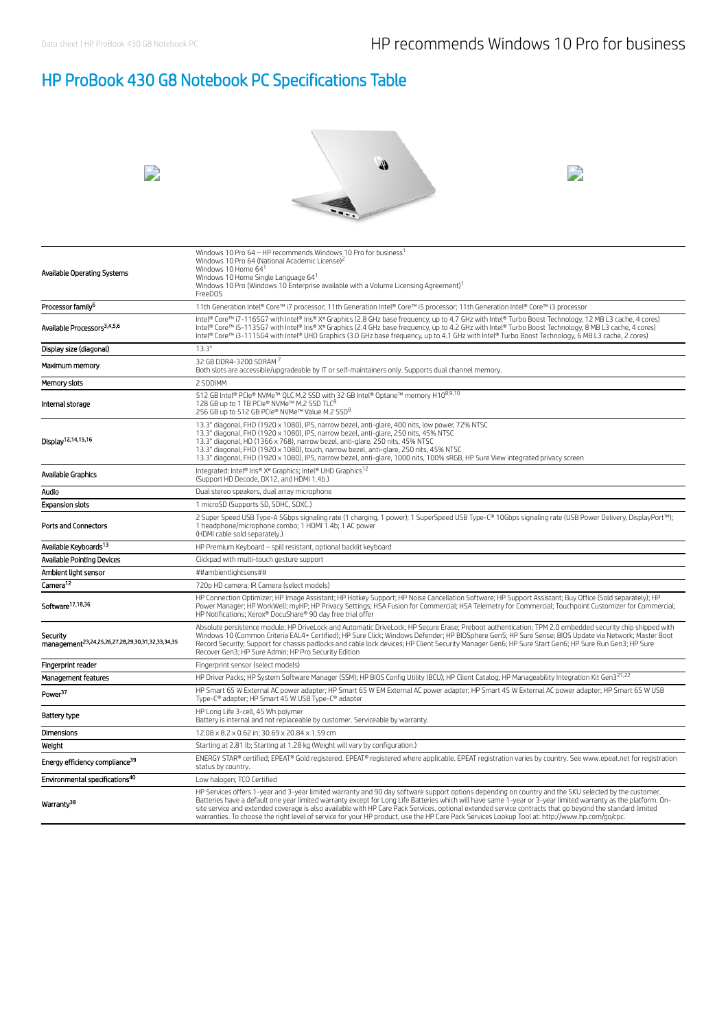# HP ProBook 430 G8 Notebook PC Specifications Table

| Available Operating Systems                                              | Windows 10 Pro 64 - HP recommends Windows 10 Pro for business <sup>1</sup><br>Windows 10 Pro 64 (National Academic License) <sup>2</sup><br>Windows 10 Home 641<br>Windows 10 Home Single Language 64 <sup>1</sup><br>Windows 10 Pro (Windows 10 Enterprise available with a Volume Licensing Agreement) <sup>1</sup><br>FreeDOS                                                                                                                                                                                                                                                                                                   |
|--------------------------------------------------------------------------|------------------------------------------------------------------------------------------------------------------------------------------------------------------------------------------------------------------------------------------------------------------------------------------------------------------------------------------------------------------------------------------------------------------------------------------------------------------------------------------------------------------------------------------------------------------------------------------------------------------------------------|
| Processor family <sup>6</sup>                                            | 11th Generation Intel® Core™ i7 processor; 11th Generation Intel® Core™ i5 processor; 11th Generation Intel® Core™ i3 processor                                                                                                                                                                                                                                                                                                                                                                                                                                                                                                    |
| Available Processors <sup>3,4,5,6</sup>                                  | Intel® Core™ i7-1165G7 with Intel® Iris® X® Graphics (2.8 GHz base frequency, up to 4.7 GHz with Intel® Turbo Boost Technology, 12 MB L3 cache, 4 cores)<br>Intel® Core™ i5-1135G7 with Intel® Iris® Xe Graphics (2.4 GHz base frequency, up to 4.2 GHz with Intel® Turbo Boost Technology, 8 MB L3 cache, 4 cores)<br>Intel® Core™ i3-1115G4 with Intel® UHD Graphics (3.0 GHz base frequency, up to 4.1 GHz with Intel® Turbo Boost Technology, 6 MB L3 cache, 2 cores)                                                                                                                                                          |
| Display size (diagonal)                                                  | 13.3"                                                                                                                                                                                                                                                                                                                                                                                                                                                                                                                                                                                                                              |
| Maximum memory                                                           | 32 GB DDR4-3200 SDRAM 7<br>Both slots are accessible/upgradeable by IT or self-maintainers only. Supports dual channel memory.                                                                                                                                                                                                                                                                                                                                                                                                                                                                                                     |
| Memory slots                                                             | 2 SODIMM                                                                                                                                                                                                                                                                                                                                                                                                                                                                                                                                                                                                                           |
| Internal storage                                                         | 512 GB Intel® PCIe® NVMe™ QLC M.2 SSD with 32 GB Intel® Optane™ memory H108,9,10<br>128 GB up to 1 TB PCIe® NVMe™ M.2 SSD TLC <sup>8</sup><br>256 GB up to 512 GB PCIe® NVMe™ Value M.2 SSD <sup>8</sup>                                                                                                                                                                                                                                                                                                                                                                                                                           |
| Display <sup>12,14,15,16</sup>                                           | 13.3" diagonal, FHD (1920 x 1080), IPS, narrow bezel, anti-glare, 400 nits, low power, 72% NTSC<br>13.3" diagonal, FHD (1920 x 1080), IPS, narrow bezel, anti-glare, 250 nits, 45% NTSC<br>13.3" diagonal, HD (1366 x 768), narrow bezel, anti-glare, 250 nits, 45% NTSC<br>13.3" diagonal, FHD (1920 x 1080), touch, narrow bezel, anti-glare, 250 nits, 45% NTSC<br>13.3" diagonal, FHD (1920 x 1080), IPS, narrow bezel, anti-glare, 1000 nits, 100% sRGB, HP Sure View integrated privacy screen                                                                                                                               |
| Available Graphics                                                       | Integrated: Intel® Iris® X <sup>e</sup> Graphics: Intel® UHD Graphics <sup>12</sup><br>(Support HD Decode, DX12, and HDMI 1.4b.)                                                                                                                                                                                                                                                                                                                                                                                                                                                                                                   |
| Audio                                                                    | Dual stereo speakers, dual array microphone                                                                                                                                                                                                                                                                                                                                                                                                                                                                                                                                                                                        |
| <b>Expansion slots</b>                                                   | 1 microSD (Supports SD, SDHC, SDXC.)                                                                                                                                                                                                                                                                                                                                                                                                                                                                                                                                                                                               |
| <b>Ports and Connectors</b>                                              | 2 Super Speed USB Type-A 5Gbps signaling rate (1 charging, 1 power); 1 SuperSpeed USB Type-C® 10Gbps signaling rate (USB Power Delivery, DisplayPort™);<br>1 headphone/microphone combo; 1 HDMI 1.4b; 1 AC power<br>(HDMI cable sold separately.)                                                                                                                                                                                                                                                                                                                                                                                  |
| Available Keyboards <sup>13</sup>                                        | HP Premium Keyboard - spill resistant, optional backlit keyboard                                                                                                                                                                                                                                                                                                                                                                                                                                                                                                                                                                   |
| <b>Available Pointing Devices</b>                                        | Clickpad with multi-touch gesture support                                                                                                                                                                                                                                                                                                                                                                                                                                                                                                                                                                                          |
| Ambient light sensor                                                     | ##ambientlightsens##                                                                                                                                                                                                                                                                                                                                                                                                                                                                                                                                                                                                               |
| Camera <sup>12</sup>                                                     | 720p HD camera; IR Camera (select models)                                                                                                                                                                                                                                                                                                                                                                                                                                                                                                                                                                                          |
| Software <sup>17,18,36</sup>                                             | HP Connection Optimizer; HP Image Assistant; HP Hotkey Support; HP Noise Cancellation Software; HP Support Assistant; Buy Office (Sold separately); HP<br>Power Manager; HP WorkWell; myHP; HP Privacy Settings; HSA Fusion for Commercial; HSA Telemetry for Commercial; Touchpoint Customizer for Commercial;<br>HP Notifications; Xerox® DocuShare® 90 day free trial offer                                                                                                                                                                                                                                                     |
| Security<br>management <sup>23,24,25,26,27,28,29,30,31,32,33,34,35</sup> | Absolute persistence module; HP DriveLock and Automatic DriveLock; HP Secure Erase; Preboot authentication; TPM 2.0 embedded security chip shipped with<br>Windows 10 (Common Criteria EAL4+ Certified); HP Sure Click; Windows Defender; HP BIOSphere Gen5; HP Sure Sense; BIOS Update via Network; Master Boot<br>Record Security; Support for chassis padlocks and cable lock devices; HP Client Security Manager Gen6; HP Sure Start Gen6; HP Sure Run Gen3; HP Sure<br>Recover Gen3; HP Sure Admin; HP Pro Security Edition                                                                                                   |
| Fingerprint reader                                                       | Fingerprint sensor (select models)                                                                                                                                                                                                                                                                                                                                                                                                                                                                                                                                                                                                 |
| Management features                                                      | HP Driver Packs; HP System Software Manager (SSM); HP BIOS Config Utility (BCU); HP Client Catalog; HP Manageability Integration Kit Gen3 <sup>21,22</sup>                                                                                                                                                                                                                                                                                                                                                                                                                                                                         |
| Power <sup>37</sup>                                                      | HP Smart 65 W External AC power adapter; HP Smart 65 W EM External AC power adapter; HP Smart 45 W External AC power adapter; HP Smart 65 W USB<br>Type-C® adapter; HP Smart 45 W USB Type-C® adapter                                                                                                                                                                                                                                                                                                                                                                                                                              |
| Battery type                                                             | HP Long Life 3-cell, 45 Wh polymer<br>Battery is internal and not replaceable by customer. Serviceable by warranty.                                                                                                                                                                                                                                                                                                                                                                                                                                                                                                                |
| Dimensions                                                               | 12.08 x 8.2 x 0.62 in; 30.69 x 20.84 x 1.59 cm                                                                                                                                                                                                                                                                                                                                                                                                                                                                                                                                                                                     |
| Weight                                                                   | Starting at 2.81 lb; Starting at 1.28 kg (Weight will vary by configuration.)                                                                                                                                                                                                                                                                                                                                                                                                                                                                                                                                                      |
| Energy efficiency compliance <sup>39</sup>                               | ENERGY STAR® certified; EPEAT® Gold registered. EPEAT® registered where applicable. EPEAT registration varies by country. See www.epeat.net for registration<br>status by country.                                                                                                                                                                                                                                                                                                                                                                                                                                                 |
| Environmental specifications <sup>40</sup>                               | Low halogen; TCO Certified                                                                                                                                                                                                                                                                                                                                                                                                                                                                                                                                                                                                         |
| Warranty <sup>38</sup>                                                   | HP Services offers 1-year and 3-year limited warranty and 90 day software support options depending on country and the SKU selected by the customer.<br>Batteries have a default one year limited warranty except for Long Life Batteries which will have same 1-year or 3-year limited warranty as the platform. On-<br>site service and extended coverage is also available with HP Care Pack Services, optional extended service contracts that go beyond the standard limited<br>warranties. To choose the right level of service for your HP product, use the HP Care Pack Services Lookup Tool at: http://www.hp.com/go/cpc. |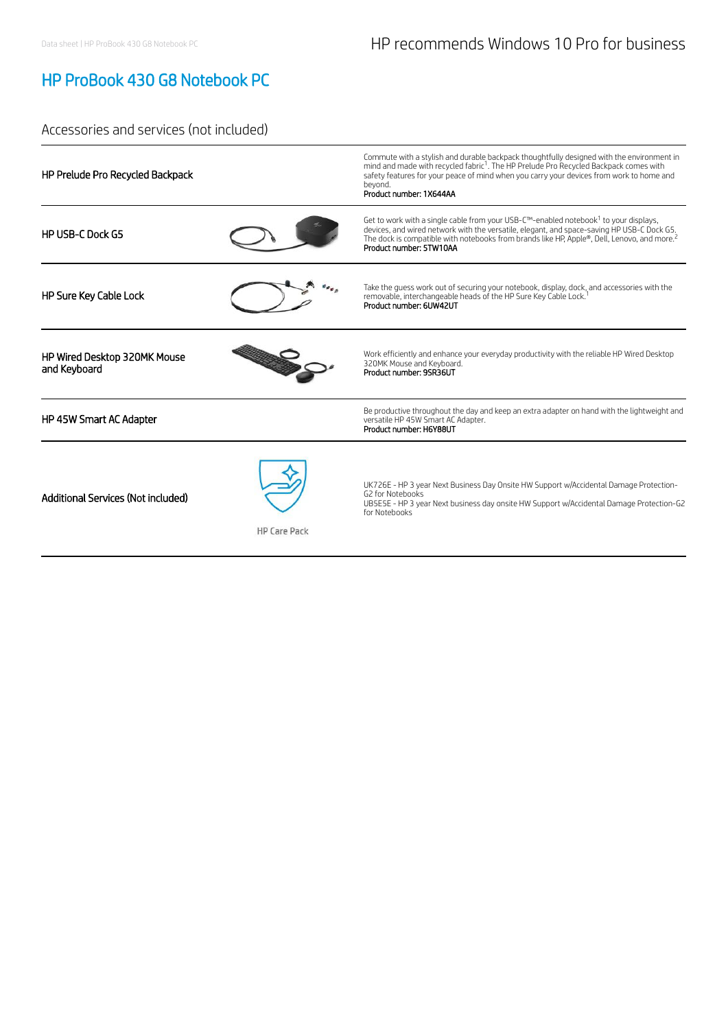# HP ProBook 430 G8 Notebook PC

## Accessories and services (not included)

| HP Prelude Pro Recycled Backpack                          | Commute with a stylish and durable backpack thoughtfully designed with the environment in<br>mind and made with recycled fabric <sup>1</sup> . The HP Prelude Pro Recycled Backpack comes with<br>safety features for your peace of mind when you carry your devices from work to home and<br>bevond.<br>Product number: 1X644AA     |
|-----------------------------------------------------------|--------------------------------------------------------------------------------------------------------------------------------------------------------------------------------------------------------------------------------------------------------------------------------------------------------------------------------------|
| <b>HP USB-C Dock G5</b>                                   | Get to work with a single cable from your USB-C™-enabled notebook <sup>1</sup> to your displays,<br>devices, and wired network with the versatile, elegant, and space-saving HP USB-C Dock G5.<br>The dock is compatible with notebooks from brands like HP, Apple®, Dell, Lenovo, and more. <sup>2</sup><br>Product number: 5TW10AA |
| HP Sure Key Cable Lock                                    | Take the quess work out of securing your notebook, display, dock, and accessories with the<br>removable, interchangeable heads of the HP Sure Key Cable Lock.<br>Product number: 6UW42UT                                                                                                                                             |
| HP Wired Desktop 320MK Mouse<br>and Keyboard              | Work efficiently and enhance your everyday productivity with the reliable HP Wired Desktop<br>320MK Mouse and Keyboard.<br>Product number: 9SR36UT                                                                                                                                                                                   |
| HP 45W Smart AC Adapter                                   | Be productive throughout the day and keep an extra adapter on hand with the lightweight and<br>versatile HP 45W Smart AC Adapter.<br>Product number: H6Y88UT                                                                                                                                                                         |
| Additional Services (Not included)<br><b>HP Care Pack</b> | UK726E - HP 3 year Next Business Day Onsite HW Support w/Accidental Damage Protection-<br>G2 for Notebooks<br>UB5E5E - HP 3 year Next business day onsite HW Support w/Accidental Damage Protection-G2<br>for Notebooks                                                                                                              |